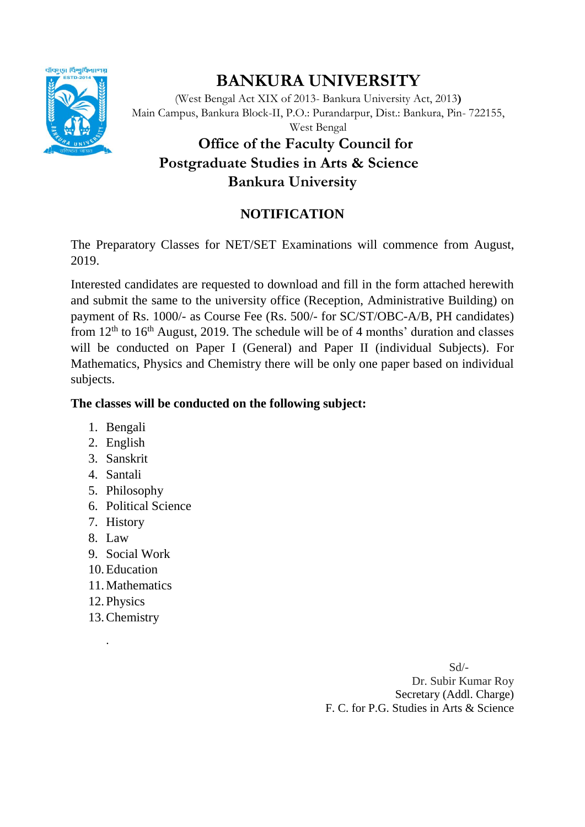

# **BANKURA UNIVERSITY**

(West Bengal Act XIX of 2013- Bankura University Act, 2013**)** Main Campus, Bankura Block-II, P.O.: Purandarpur, Dist.: Bankura, Pin- 722155,

#### West Bengal

# **Office of the Faculty Council for Postgraduate Studies in Arts & Science Bankura University**

### **NOTIFICATION**

The Preparatory Classes for NET/SET Examinations will commence from August, 2019.

Interested candidates are requested to download and fill in the form attached herewith and submit the same to the university office (Reception, Administrative Building) on payment of Rs. 1000/- as Course Fee (Rs. 500/- for SC/ST/OBC-A/B, PH candidates) from  $12<sup>th</sup>$  to  $16<sup>th</sup>$  August, 2019. The schedule will be of 4 months' duration and classes will be conducted on Paper I (General) and Paper II (individual Subjects). For Mathematics, Physics and Chemistry there will be only one paper based on individual subjects.

#### **The classes will be conducted on the following subject:**

- 1. Bengali
- 2. English
- 3. Sanskrit
- 4. Santali
- 5. Philosophy
- 6. Political Science
- 7. History
- 8. Law
- 9. Social Work
- 10.Education
- 11.Mathematics
- 12.Physics

.

13.Chemistry

 Sd/- Dr. Subir Kumar Roy Secretary (Addl. Charge) F. C. for P.G. Studies in Arts & Science